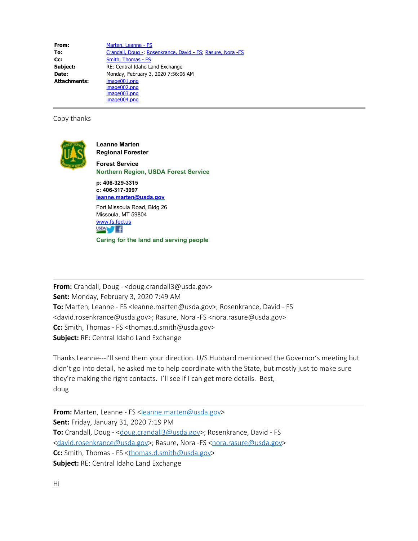**From:** [Marten, Leanne - FS](mailto:leanne.marten@usda.gov) **To:** [Crandall, Doug -](mailto:doug.crandall3@usda.gov); [Rosenkrance, David - FS](mailto:david.rosenkrance@usda.gov); [Rasure, Nora -FS](mailto:nora.rasure@usda.gov) **Cc:** [Smith, Thomas - FS](mailto:thomas.d.smith@usda.gov) **Subject:** RE: Central Idaho Land Exchange **Date:** Monday, February 3, 2020 7:56:06 AM **Attachments:** image001.png image002.png image003.png image004.png

## Copy thanks



**Leanne Marten Regional Forester**

**Forest Service Northern Region, USDA Forest Service**

**p: 406-329-3315 c: 406-317-3097 [leanne.marten@usda.gov](mailto:leanne.marten@usda.gov)**

Fort Missoula Road, Bldg 26 Missoula, MT 59804 [www.fs.fed.us](http://www.fs.fed.us/)  $USDA$   $f$ 

**Caring for the land and serving people**

**From:** Crandall, Doug - <doug.crandall3@usda.gov> **Sent:** Monday, February 3, 2020 7:49 AM To: Marten, Leanne - FS <leanne.marten@usda.gov>; Rosenkrance, David - FS <david.rosenkrance@usda.gov>; Rasure, Nora -FS <nora.rasure@usda.gov> **Cc:** Smith, Thomas - FS <thomas.d.smith@usda.gov> **Subject:** RE: Central Idaho Land Exchange

Thanks Leanne---I'll send them your direction. U/S Hubbard mentioned the Governor's meeting but didn't go into detail, he asked me to help coordinate with the State, but mostly just to make sure they're making the right contacts. I'll see if I can get more details. Best, doug

From: Marten, Leanne - FS [<leanne.marten@usda.gov](mailto:leanne.marten@usda.gov)> **Sent:** Friday, January 31, 2020 7:19 PM **To:** Crandall, Doug - <[doug.crandall3@usda.gov](mailto:doug.crandall3@usda.gov)>; Rosenkrance, David - FS [<david.rosenkrance@usda.gov](mailto:david.rosenkrance@usda.gov)>; Rasure, Nora -FS <[nora.rasure@usda.gov](mailto:nora.rasure@usda.gov)> **Cc:** Smith, Thomas - FS [<thomas.d.smith@usda.gov](mailto:thomas.d.smith@usda.gov)> **Subject:** RE: Central Idaho Land Exchange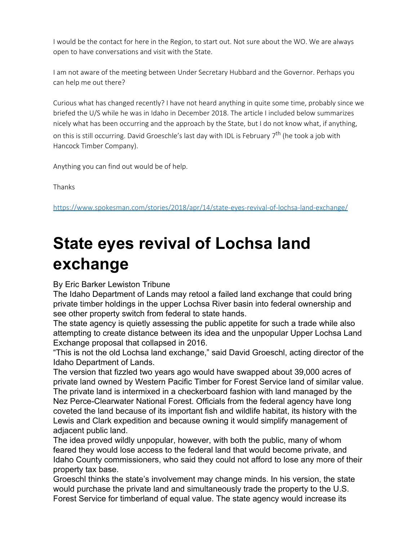I would be the contact for here in the Region, to start out. Not sure about the WO. We are always open to have conversations and visit with the State.

I am not aware of the meeting between Under Secretary Hubbard and the Governor. Perhaps you can help me out there?

Curious what has changed recently? I have not heard anything in quite some time, probably since we briefed the U/S while he was in Idaho in December 2018. The article I included below summarizes nicely what has been occurring and the approach by the State, but I do not know what, if anything, on this is still occurring. David Groeschle's last day with IDL is February  $7<sup>th</sup>$  (he took a job with Hancock Timber Company).

Anything you can find out would be of help.

Thanks

[https://www.spokesman.com/stories/2018/apr/14/state-eyes-revival-of-lochsa-land-exchange/](https://gcc02.safelinks.protection.outlook.com/?url=https%3A%2F%2Fwww.spokesman.com%2Fstories%2F2018%2Fapr%2F14%2Fstate-eyes-revival-of-lochsa-land-exchange%2F&data=02%7C01%7C%7C3d6726984d0f4de4b7cd08d7a8b82758%7Ced5b36e701ee4ebc867ee03cfa0d4697%7C0%7C0%7C637163381192352729&sdata=UWMDLTL5fhFkk%2FWJwf0wdmUflU33pa9cBtk8lh%2Bp5yo%3D&reserved=0)

## **State eyes revival of Lochsa land exchange**

## By Eric Barker Lewiston Tribune

The Idaho Department of Lands may retool a failed land exchange that could bring private timber holdings in the upper Lochsa River basin into federal ownership and see other property switch from federal to state hands.

The state agency is quietly assessing the public appetite for such a trade while also attempting to create distance between its idea and the unpopular Upper Lochsa Land Exchange proposal that collapsed in 2016.

"This is not the old Lochsa land exchange," said David Groeschl, acting director of the Idaho Department of Lands.

The version that fizzled two years ago would have swapped about 39,000 acres of private land owned by Western Pacific Timber for Forest Service land of similar value. The private land is intermixed in a checkerboard fashion with land managed by the Nez Perce-Clearwater National Forest. Officials from the federal agency have long coveted the land because of its important fish and wildlife habitat, its history with the Lewis and Clark expedition and because owning it would simplify management of adjacent public land.

The idea proved wildly unpopular, however, with both the public, many of whom feared they would lose access to the federal land that would become private, and Idaho County commissioners, who said they could not afford to lose any more of their property tax base.

Groeschl thinks the state's involvement may change minds. In his version, the state would purchase the private land and simultaneously trade the property to the U.S. Forest Service for timberland of equal value. The state agency would increase its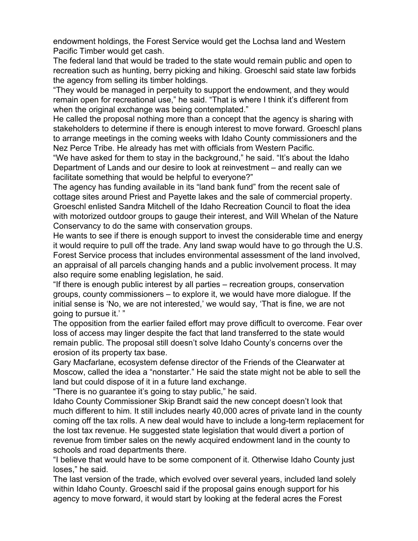endowment holdings, the Forest Service would get the Lochsa land and Western Pacific Timber would get cash.

The federal land that would be traded to the state would remain public and open to recreation such as hunting, berry picking and hiking. Groeschl said state law forbids the agency from selling its timber holdings.

"They would be managed in perpetuity to support the endowment, and they would remain open for recreational use," he said. "That is where I think it's different from when the original exchange was being contemplated."

He called the proposal nothing more than a concept that the agency is sharing with stakeholders to determine if there is enough interest to move forward. Groeschl plans to arrange meetings in the coming weeks with Idaho County commissioners and the Nez Perce Tribe. He already has met with officials from Western Pacific.

"We have asked for them to stay in the background," he said. "It's about the Idaho Department of Lands and our desire to look at reinvestment – and really can we facilitate something that would be helpful to everyone?"

The agency has funding available in its "land bank fund" from the recent sale of cottage sites around Priest and Payette lakes and the sale of commercial property. Groeschl enlisted Sandra Mitchell of the Idaho Recreation Council to float the idea with motorized outdoor groups to gauge their interest, and Will Whelan of the Nature Conservancy to do the same with conservation groups.

He wants to see if there is enough support to invest the considerable time and energy it would require to pull off the trade. Any land swap would have to go through the U.S. Forest Service process that includes environmental assessment of the land involved, an appraisal of all parcels changing hands and a public involvement process. It may also require some enabling legislation, he said.

"If there is enough public interest by all parties – recreation groups, conservation groups, county commissioners – to explore it, we would have more dialogue. If the initial sense is 'No, we are not interested,' we would say, 'That is fine, we are not going to pursue it.' "

The opposition from the earlier failed effort may prove difficult to overcome. Fear over loss of access may linger despite the fact that land transferred to the state would remain public. The proposal still doesn't solve Idaho County's concerns over the erosion of its property tax base.

Gary Macfarlane, ecosystem defense director of the Friends of the Clearwater at Moscow, called the idea a "nonstarter." He said the state might not be able to sell the land but could dispose of it in a future land exchange.

"There is no guarantee it's going to stay public," he said.

Idaho County Commissioner Skip Brandt said the new concept doesn't look that much different to him. It still includes nearly 40,000 acres of private land in the county coming off the tax rolls. A new deal would have to include a long-term replacement for the lost tax revenue. He suggested state legislation that would divert a portion of revenue from timber sales on the newly acquired endowment land in the county to schools and road departments there.

"I believe that would have to be some component of it. Otherwise Idaho County just loses," he said.

The last version of the trade, which evolved over several years, included land solely within Idaho County. Groeschl said if the proposal gains enough support for his agency to move forward, it would start by looking at the federal acres the Forest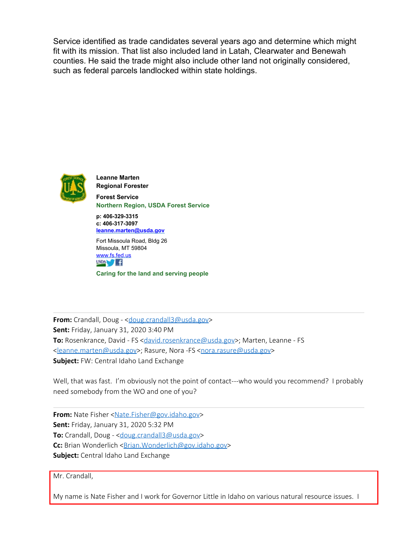Service identified as trade candidates several years ago and determine which might fit with its mission. That list also included land in Latah, Clearwater and Benewah counties. He said the trade might also include other land not originally considered, such as federal parcels landlocked within state holdings.



**Leanne Marten Regional Forester Forest Service Northern Region, USDA Forest Service**

**p: 406-329-3315 c: 406-317-3097 [leanne.marten@usda.gov](mailto:leanne.marten@usda.gov)**

Fort Missoula Road, Bldg 26 Missoula, MT 59804 [www.fs.fed.us](https://gcc02.safelinks.protection.outlook.com/?url=http%3A%2F%2Fwww.fs.fed.us%2F&data=02%7C01%7C%7C3d6726984d0f4de4b7cd08d7a8b82758%7Ced5b36e701ee4ebc867ee03cfa0d4697%7C0%7C0%7C637163381192362677&sdata=iNCX6ZY5TzWE2jCbVkoSbC1g1ZIcC4%2FMm%2BHpO5pCjwg%3D&reserved=0)  $USDA$   $f$ 

**Caring for the land and serving people**

**From:** Crandall, Doug - < doug.crandall3@usda.gov> **Sent:** Friday, January 31, 2020 3:40 PM **To:** Rosenkrance, David - FS <[david.rosenkrance@usda.gov](mailto:david.rosenkrance@usda.gov)>; Marten, Leanne - FS [<leanne.marten@usda.gov](mailto:leanne.marten@usda.gov)>; Rasure, Nora -FS [<nora.rasure@usda.gov](mailto:nora.rasure@usda.gov)> **Subject:** FW: Central Idaho Land Exchange

Well, that was fast. I'm obviously not the point of contact---who would you recommend? I probably need somebody from the WO and one of you?

**From:** Nate Fisher [<Nate.Fisher@gov.idaho.gov](mailto:Nate.Fisher@gov.idaho.gov)> **Sent:** Friday, January 31, 2020 5:32 PM **To:** Crandall, Doug - <[doug.crandall3@usda.gov](mailto:doug.crandall3@usda.gov)> **Cc:** Brian Wonderlich < Brian. Wonderlich@gov.idaho.gov> **Subject:** Central Idaho Land Exchange

Mr. Crandall,

My name is Nate Fisher and I work for Governor Little in Idaho on various natural resource issues. I